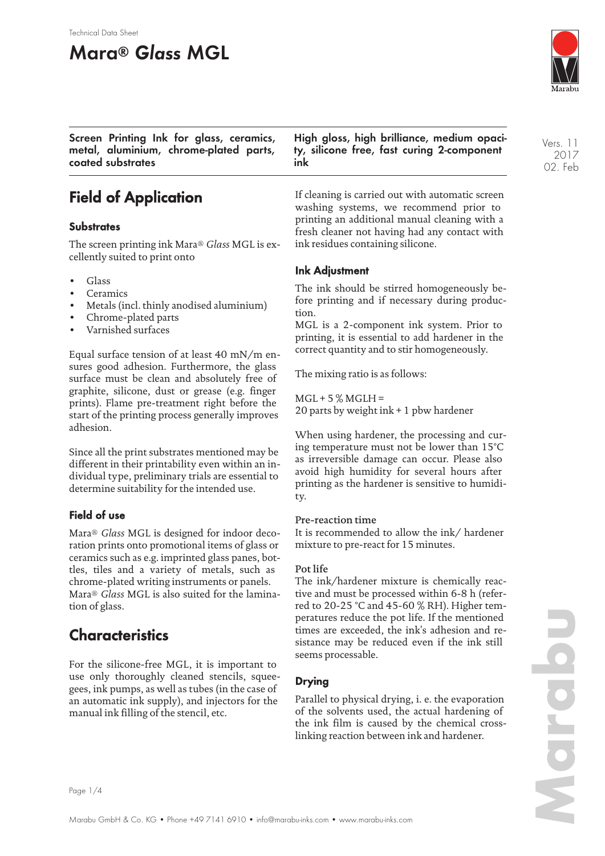#### Technical Data Sheet

# **Mara® Glass MGL**



**Screen Printing Ink for glass, ceramics, metal, aluminium, chrome-plated parts, coated substrates**

## **Field of Application**

### **Substrates**

The screen printing ink Mara® *Glass* MGL is excellently suited to print onto

- Glass
- **Ceramics**
- Metals (incl. thinly anodised aluminium)
- Chrome-plated parts
- Varnished surfaces

Equal surface tension of at least 40 mN/m ensures good adhesion. Furthermore, the glass surface must be clean and absolutely free of graphite, silicone, dust or grease (e.g. finger prints). Flame pre-treatment right before the start of the printing process generally improves adhesion.

Since all the print substrates mentioned may be different in their printability even within an individual type, preliminary trials are essential to determine suitability for the intended use.

### **Field of use**

Mara® *Glass* MGL is designed for indoor decoration prints onto promotional items of glass or ceramics such as e.g. imprinted glass panes, bottles, tiles and a variety of metals, such as chrome-plated writing instruments or panels. Mara® *Glass* MGL is also suited for the lamination of glass.

### **Characteristics**

For the silicone-free MGL, it is important to use only thoroughly cleaned stencils, squeegees, ink pumps, as well as tubes (in the case of an automatic ink supply), and injectors for the manual ink filling of the stencil, etc.

**High gloss, high brilliance, medium opacity, silicone free, fast curing 2-component ink**

If cleaning is carried out with automatic screen washing systems, we recommend prior to printing an additional manual cleaning with a fresh cleaner not having had any contact with ink residues containing silicone.

### **Ink Adjustment**

The ink should be stirred homogeneously before printing and if necessary during production.

MGL is a 2-component ink system. Prior to printing, it is essential to add hardener in the correct quantity and to stir homogeneously.

The mixing ratio is as follows:

 $MGL + 5$ %  $MGLH =$ 20 parts by weight ink + 1 pbw hardener

When using hardener, the processing and curing temperature must not be lower than 15°C as irreversible damage can occur. Please also avoid high humidity for several hours after printing as the hardener is sensitive to humidity.

### Pre-reaction time

It is recommended to allow the ink/ hardener mixture to pre-react for 15 minutes.

#### Pot life

The ink/hardener mixture is chemically reactive and must be processed within 6-8 h (referred to 20-25 °C and 45-60 % RH). Higher temperatures reduce the pot life. If the mentioned times are exceeded, the ink's adhesion and resistance may be reduced even if the ink still seems processable.

### **Drying**

Parallel to physical drying, i. e. the evaporation of the solvents used, the actual hardening of the ink film is caused by the chemical crosslinking reaction between ink and hardener.

2017 02. Feb

Vers. 11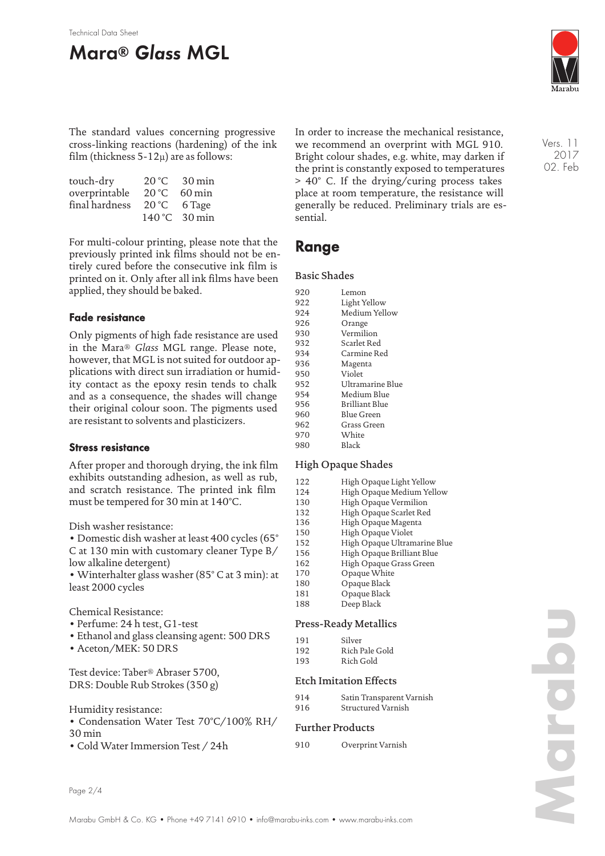# **Mara® Glass MGL**



The standard values concerning progressive cross-linking reactions (hardening) of the ink film (thickness  $5-12\mu$ ) are as follows:

| touch-dry      |       | 20 °C 30 min          |
|----------------|-------|-----------------------|
| overprintable  | 20 °C | $60 \,\mathrm{min}$   |
| final hardness |       | $20^{\circ}$ C 6 Tage |
|                |       | 140 °C 30 min         |

For multi-colour printing, please note that the previously printed ink films should not be entirely cured before the consecutive ink film is printed on it. Only after all ink films have been applied, they should be baked.

### **Fade resistance**

Only pigments of high fade resistance are used in the Mara® *Glass* MGL range. Please note, however, that MGL is not suited for outdoor applications with direct sun irradiation or humidity contact as the epoxy resin tends to chalk and as a consequence, the shades will change their original colour soon. The pigments used are resistant to solvents and plasticizers.

### **Stress resistance**

After proper and thorough drying, the ink film exhibits outstanding adhesion, as well as rub, and scratch resistance. The printed ink film must be tempered for 30 min at 140°C.

Dish washer resistance:

• Domestic dish washer at least 400 cycles (65° C at 130 min with customary cleaner Type B/ low alkaline detergent)

• Winterhalter glass washer (85° C at 3 min): at least 2000 cycles

Chemical Resistance:

- Perfume: 24 h test, G1-test
- Ethanol and glass cleansing agent: 500 DRS
- Aceton/MEK: 50 DRS

Test device: Taber® Abraser 5700, DRS: Double Rub Strokes (350 g)

Humidity resistance:

- Condensation Water Test 70°C/100% RH/ 30 min
- Cold Water Immersion Test / 24h

In order to increase the mechanical resistance, we recommend an overprint with MGL 910. Bright colour shades, e.g. white, may darken if the print is constantly exposed to temperatures > 40° C. If the drying/curing process takes place at room temperature, the resistance will generally be reduced. Preliminary trials are essential.

### **Range**

### Basic Shades

| 920 | Lemon            |
|-----|------------------|
| 922 | Light Yellow     |
| 924 | Medium Yellow    |
| 926 | Orange           |
| 930 | Vermilion        |
| 932 | Scarlet Red      |
| 934 | Carmine Red      |
| 936 | Magenta          |
| 950 | Violet           |
| 952 | Ultramarine Blue |
| 954 | Medium Blue      |
| 956 | Brilliant Blue   |
| 960 | Blue Green       |
| 962 | Grass Green      |
| 970 | White            |
| 980 | Black            |

### High Opaque Shades

| 122 | High Opaque Light Yellow     |
|-----|------------------------------|
| 124 | High Opaque Medium Yellow    |
| 130 | High Opaque Vermilion        |
| 132 | High Opaque Scarlet Red      |
| 136 | High Opaque Magenta          |
| 150 | High Opaque Violet           |
| 152 | High Opaque Ultramarine Blue |
| 156 | High Opaque Brilliant Blue   |
| 162 | High Opaque Grass Green      |
| 170 | Opaque White                 |
| 180 | Opaque Black                 |
|     |                              |

181 Opaque Black 188 Deep Black

### Press-Ready Metallics

|     | 11055 11066, 11106611105 |
|-----|--------------------------|
| 191 | Silver                   |
| 192 | Rich Pale Gold           |
| 193 | Rich Gold                |

#### Etch Imitation Effects

| 914 | Satin Transparent Varnish |
|-----|---------------------------|
| 916 | Structured Varnish        |

### Further Products

910 Overprint Varnish

Vers. 11 2017 02. Feb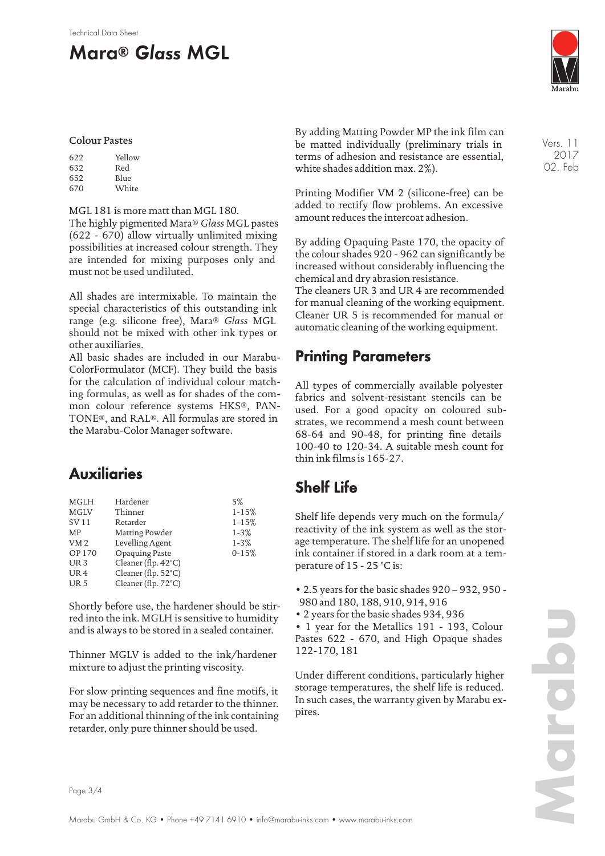#### Technical Data Sheet

# **Mara® Glass MGL**



#### Colour Pastes

| 622 | Yellow |
|-----|--------|
| 632 | Red    |
| 652 | Blue   |
| 670 | White  |

#### MGL 181 is more matt than MGL 180.

The highly pigmented Mara® *Glass* MGL pastes (622 - 670) allow virtually unlimited mixing possibilities at increased colour strength. They are intended for mixing purposes only and must not be used undiluted.

All shades are intermixable. To maintain the special characteristics of this outstanding ink range (e.g. silicone free), Mara® *Glass* MGL should not be mixed with other ink types or other auxiliaries.

All basic shades are included in our Marabu-ColorFormulator (MCF). They build the basis for the calculation of individual colour matching formulas, as well as for shades of the common colour reference systems HKS®, PAN-TONE®, and RAL®. All formulas are stored in the Marabu-Color Manager software.

### **Auxiliaries**

| <b>MGLH</b>     | Hardener                      | 5%        |
|-----------------|-------------------------------|-----------|
| <b>MGLV</b>     | Thinner                       | $1 - 15%$ |
| SV 11           | Retarder                      | $1 - 15%$ |
| MP              | Matting Powder                | $1 - 3%$  |
| VM <sub>2</sub> | Levelling Agent               | $1 - 3%$  |
| OP 170          | Opaquing Paste                | $0 - 15%$ |
| UR <sub>3</sub> | Cleaner (flp. $42^{\circ}$ C) |           |
| UR <sub>4</sub> | Cleaner (flp. 52°C)           |           |
| UR <sub>5</sub> | Cleaner (flp. 72°C)           |           |
|                 |                               |           |

Shortly before use, the hardener should be stirred into the ink. MGLH is sensitive to humidity and is always to be stored in a sealed container.

Thinner MGLV is added to the ink/hardener mixture to adjust the printing viscosity.

For slow printing sequences and fine motifs, it may be necessary to add retarder to the thinner. For an additional thinning of the ink containing retarder, only pure thinner should be used.

By adding Matting Powder MP the ink film can be matted individually (preliminary trials in terms of adhesion and resistance are essential, white shades addition max. 2%).

Printing Modifier VM 2 (silicone-free) can be added to rectify flow problems. An excessive amount reduces the intercoat adhesion.

By adding Opaquing Paste 170, the opacity of the colour shades 920 - 962 can significantly be increased without considerably influencing the chemical and dry abrasion resistance.

The cleaners UR 3 and UR 4 are recommended for manual cleaning of the working equipment. Cleaner UR 5 is recommended for manual or automatic cleaning of the working equipment.

### **Printing Parameters**

All types of commercially available polyester fabrics and solvent-resistant stencils can be used. For a good opacity on coloured substrates, we recommend a mesh count between 68-64 and 90-48, for printing fine details 100-40 to 120-34. A suitable mesh count for thin ink films is 165-27.

### **Shelf Life**

Shelf life depends very much on the formula/ reactivity of the ink system as well as the storage temperature. The shelf life for an unopened ink container if stored in a dark room at a temperature of 15 - 25 °C is:

• 2.5 years for the basic shades 920 – 932, 950 - 980 and 180, 188, 910, 914, 916

• 2 years for the basic shades 934, 936

• 1 year for the Metallics 191 - 193, Colour Pastes 622 - 670, and High Opaque shades 122-170, 181

Under different conditions, particularly higher storage temperatures, the shelf life is reduced. In such cases, the warranty given by Marabu expires.

Vers. 11 2017 02. Feb